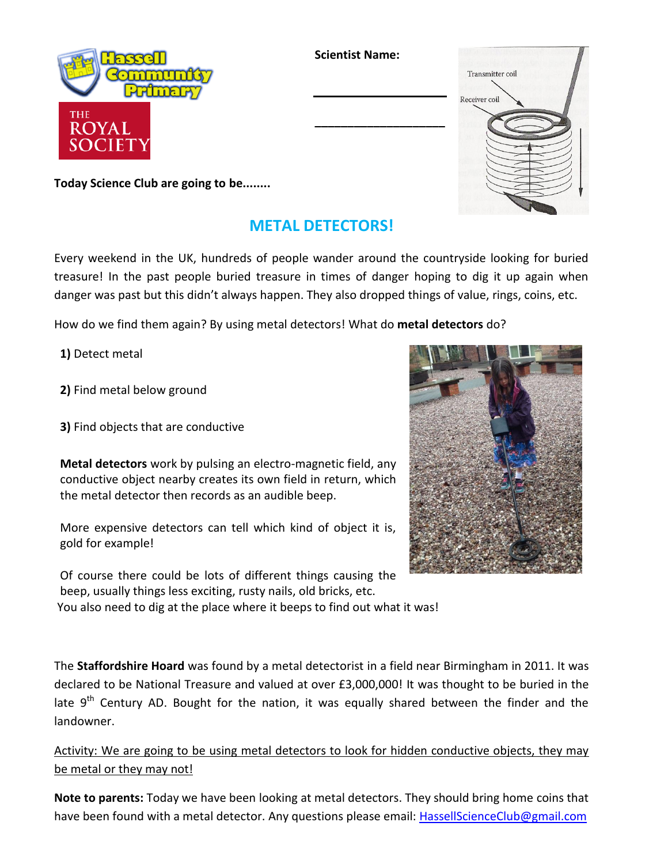

**Scientist Name:**

## Receiver coil **\_\_\_\_\_\_\_\_\_\_\_\_\_\_\_\_\_\_\_\_**

Transmitter coil

**Today Science Club are going to be........**

## **METAL DETECTORS!**

Every weekend in the UK, hundreds of people wander around the countryside looking for buried treasure! In the past people buried treasure in times of danger hoping to dig it up again when danger was past but this didn't always happen. They also dropped things of value, rings, coins, etc.

How do we find them again? By using metal detectors! What do **metal detectors** do?

**1)** Detect metal

**2)** Find metal below ground

**3)** Find objects that are conductive

**Metal detectors** work by pulsing an electro-magnetic field, any conductive object nearby creates its own field in return, which the metal detector then records as an audible beep.

More expensive detectors can tell which kind of object it is, gold for example!

Of course there could be lots of different things causing the beep, usually things less exciting, rusty nails, old bricks, etc. You also need to dig at the place where it beeps to find out what it was!

The **Staffordshire Hoard** was found by a metal detectorist in a field near Birmingham in 2011. It was declared to be National Treasure and valued at over £3,000,000! It was thought to be buried in the late 9<sup>th</sup> Century AD. Bought for the nation, it was equally shared between the finder and the landowner.

Activity: We are going to be using metal detectors to look for hidden conductive objects, they may be metal or they may not!

**Note to parents:** Today we have been looking at metal detectors. They should bring home coins that have been found with a metal detector. Any questions please email: [HassellScienceClub@gmail.com](mailto:HassellScienceClub@gmail.com)